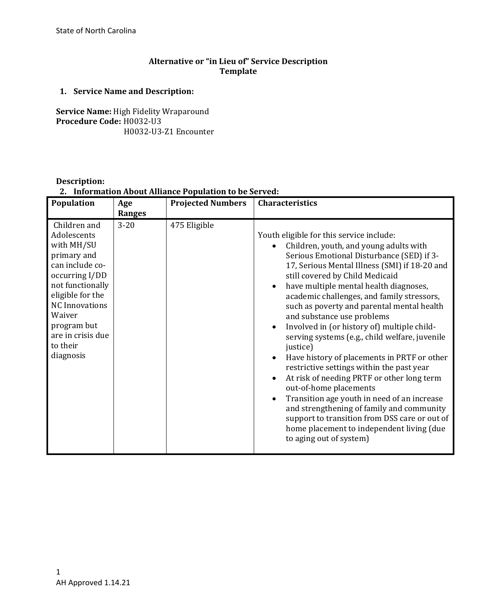# **Alternative or "in Lieu of" Service Description Template**

# **1. Service Name and Description:**

**Service Name:** High Fidelity Wraparound **Procedure Code:** H0032-U3 H0032-U3-Z1 Encounter

# **Description:**

**2. Information About Alliance Population to be Served:**

| Population                                                                                                                                                                                                                            | Age                       | <b>Projected Numbers</b> | Characteristics                                                                                                                                                                                                                                                                                                                                                                                                                                                                                                                                                                                                                                                                                                                                                                                                                                                                                                                                                |
|---------------------------------------------------------------------------------------------------------------------------------------------------------------------------------------------------------------------------------------|---------------------------|--------------------------|----------------------------------------------------------------------------------------------------------------------------------------------------------------------------------------------------------------------------------------------------------------------------------------------------------------------------------------------------------------------------------------------------------------------------------------------------------------------------------------------------------------------------------------------------------------------------------------------------------------------------------------------------------------------------------------------------------------------------------------------------------------------------------------------------------------------------------------------------------------------------------------------------------------------------------------------------------------|
| Children and<br>Adolescents<br>with MH/SU<br>primary and<br>can include co-<br>occurring I/DD<br>not functionally<br>eligible for the<br><b>NC</b> Innovations<br>Waiver<br>program but<br>are in crisis due<br>to their<br>diagnosis | <b>Ranges</b><br>$3 - 20$ | 475 Eligible             | Youth eligible for this service include:<br>Children, youth, and young adults with<br>Serious Emotional Disturbance (SED) if 3-<br>17, Serious Mental Illness (SMI) if 18-20 and<br>still covered by Child Medicaid<br>have multiple mental health diagnoses,<br>$\bullet$<br>academic challenges, and family stressors,<br>such as poverty and parental mental health<br>and substance use problems<br>Involved in (or history of) multiple child-<br>$\bullet$<br>serving systems (e.g., child welfare, juvenile<br>justice)<br>Have history of placements in PRTF or other<br>$\bullet$<br>restrictive settings within the past year<br>At risk of needing PRTF or other long term<br>$\bullet$<br>out-of-home placements<br>Transition age youth in need of an increase<br>$\bullet$<br>and strengthening of family and community<br>support to transition from DSS care or out of<br>home placement to independent living (due<br>to aging out of system) |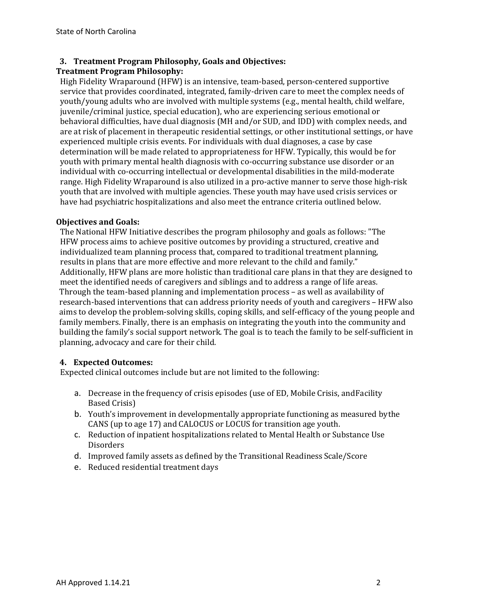### **3. Treatment Program Philosophy, Goals and Objectives:**

### **Treatment Program Philosophy:**

High Fidelity Wraparound (HFW) is an intensive, team-based, person-centered supportive service that provides coordinated, integrated, family-driven care to meet the complex needs of youth/young adults who are involved with multiple systems (e.g., mental health, child welfare, juvenile/criminal justice, special education), who are experiencing serious emotional or behavioral difficulties, have dual diagnosis (MH and/or SUD, and IDD) with complex needs, and are at risk of placement in therapeutic residential settings, or other institutional settings, or have experienced multiple crisis events. For individuals with dual diagnoses, a case by case determination will be made related to appropriateness for HFW. Typically, this would be for youth with primary mental health diagnosis with co-occurring substance use disorder or an individual with co-occurring intellectual or developmental disabilities in the mild-moderate range. High Fidelity Wraparound is also utilized in a pro-active manner to serve those high-risk youth that are involved with multiple agencies. These youth may have used crisis services or have had psychiatric hospitalizations and also meet the entrance criteria outlined below.

#### **Objectives and Goals:**

The National HFW Initiative describes the program philosophy and goals as follows: "The HFW process aims to achieve positive outcomes by providing a structured, creative and individualized team planning process that, compared to traditional treatment planning, results in plans that are more effective and more relevant to the child and family." Additionally, HFW plans are more holistic than traditional care plans in that they are designed to meet the identified needs of caregivers and siblings and to address a range of life areas. Through the team-based planning and implementation process – as well as availability of research-based interventions that can address priority needs of youth and caregivers – HFW also aims to develop the problem-solving skills, coping skills, and self-efficacy of the young people and family members. Finally, there is an emphasis on integrating the youth into the community and building the family's social support network. The goal is to teach the family to be self-sufficient in planning, advocacy and care for their child.

### **4. Expected Outcomes:**

Expected clinical outcomes include but are not limited to the following:

- a. Decrease in the frequency of crisis episodes (use of ED, Mobile Crisis, andFacility Based Crisis)
- b. Youth's improvement in developmentally appropriate functioning as measured bythe CANS (up to age 17) and CALOCUS or LOCUS for transition age youth.
- c. Reduction of inpatient hospitalizations related to Mental Health or Substance Use Disorders
- d. Improved family assets as defined by the Transitional Readiness Scale/Score
- e. Reduced residential treatment days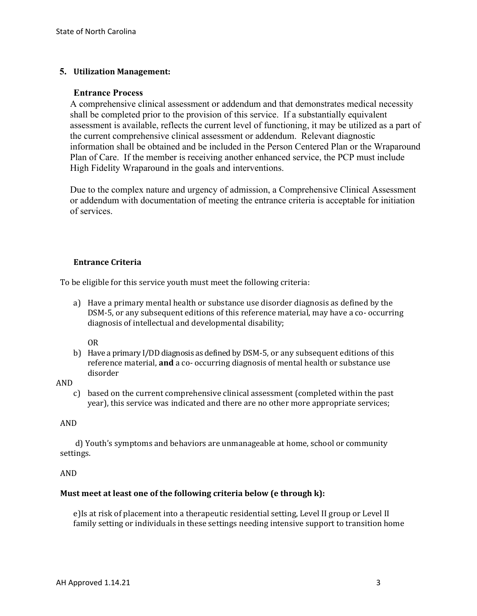### **5. Utilization Management:**

#### **Entrance Process**

A comprehensive clinical assessment or addendum and that demonstrates medical necessity shall be completed prior to the provision of this service. If a substantially equivalent assessment is available, reflects the current level of functioning, it may be utilized as a part of the current comprehensive clinical assessment or addendum. Relevant diagnostic information shall be obtained and be included in the Person Centered Plan or the Wraparound Plan of Care. If the member is receiving another enhanced service, the PCP must include High Fidelity Wraparound in the goals and interventions.

Due to the complex nature and urgency of admission, a Comprehensive Clinical Assessment or addendum with documentation of meeting the entrance criteria is acceptable for initiation of services.

#### **Entrance Criteria**

To be eligible for this service youth must meet the following criteria:

a) Have a primary mental health or substance use disorder diagnosis as defined by the DSM-5, or any subsequent editions of this reference material, may have a co- occurring diagnosis of intellectual and developmental disability;

OR

b) Have a primary I/DD diagnosis as defined by DSM-5, or any subsequent editions of this reference material, **and** a co- occurring diagnosis of mental health or substance use disorder

AND

c) based on the current comprehensive clinical assessment (completed within the past year), this service was indicated and there are no other more appropriate services;

#### AND

 d) Youth's symptoms and behaviors are unmanageable at home, school or community settings.

AND

#### **Must meet at least one of the following criteria below (e through k):**

e)Is at risk of placement into a therapeutic residential setting, Level II group or Level II family setting or individuals in these settings needing intensive support to transition home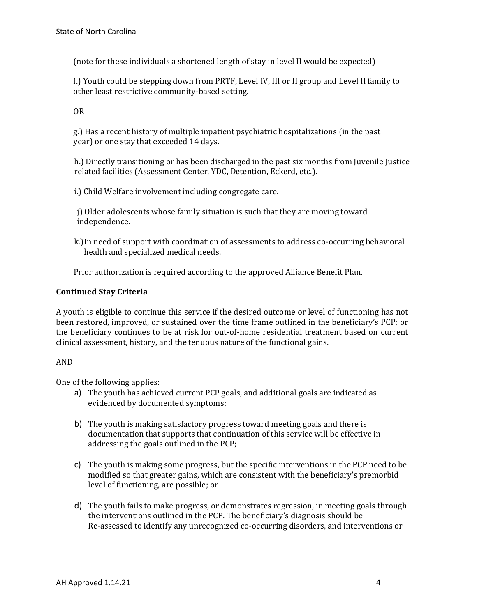(note for these individuals a shortened length of stay in level II would be expected)

f.) Youth could be stepping down from PRTF, Level IV, III or II group and Level II family to other least restrictive community-based setting.

OR

g.) Has a recent history of multiple inpatient psychiatric hospitalizations (in the past year) or one stay that exceeded 14 days.

h.) Directly transitioning or has been discharged in the past six months from Juvenile Justice related facilities (Assessment Center, YDC, Detention, Eckerd, etc.).

i.) Child Welfare involvement including congregate care.

j) Older adolescents whose family situation is such that they are moving toward independence.

k.)In need of support with coordination of assessments to address co-occurring behavioral health and specialized medical needs.

Prior authorization is required according to the approved Alliance Benefit Plan.

### **Continued Stay Criteria**

A youth is eligible to continue this service if the desired outcome or level of functioning has not been restored, improved, or sustained over the time frame outlined in the beneficiary's PCP; or the beneficiary continues to be at risk for out-of-home residential treatment based on current clinical assessment, history, and the tenuous nature of the functional gains.

### AND

One of the following applies:

- a) The youth has achieved current PCP goals, and additional goals are indicated as evidenced by documented symptoms;
- b) The youth is making satisfactory progress toward meeting goals and there is documentation that supports that continuation of this service will be effective in addressing the goals outlined in the PCP;
- c) The youth is making some progress, but the specific interventions in the PCP need to be modified so that greater gains, which are consistent with the beneficiary's premorbid level of functioning, are possible; or
- d) The youth fails to make progress, or demonstrates regression, in meeting goals through the interventions outlined in the PCP. The beneficiary's diagnosis should be Re-assessed to identify any unrecognized co-occurring disorders, and interventions or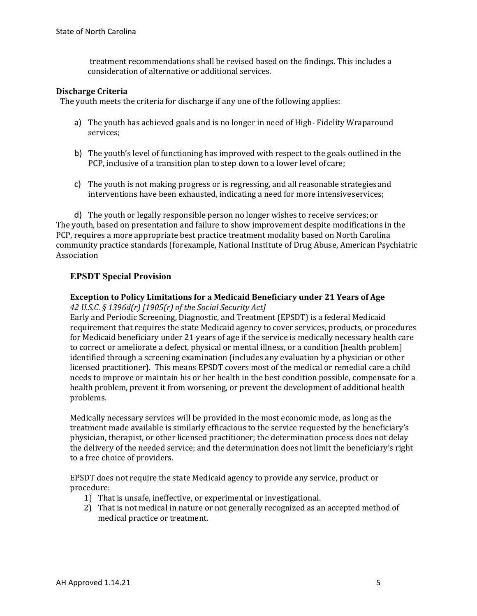treatment recommendations shall be revised based on the findings. This includes a consideration of alternative or additional services.

#### **Discharge Criteria**

The youth meets the criteria for discharge if any one of the following applies:

- a) The youth has achieved goals and is no longer in need of High- Fidelity Wraparound services;
- b) The youth's level of functioning has improved with respect to the goals outlined in the PCP, inclusive of a transition plan to step down to a lower level of care;
- c) The youth is not making progress or is regressing, and all reasonable strategiesand interventions have been exhausted, indicating a need for more intensive services;

d) The youth or legally responsible person no longer wishes to receive services; or The youth, based on presentation and failure to show improvement despite modifications in the PCP, requires a more appropriate best practice treatment modality based on North Carolina community practice standards (forexample, National Institute of Drug Abuse, American Psychiatric Association

### **EPSDT Special Provision**

#### **Exception to Policy Limitations for a Medicaid Beneficiary under 21 Years of Age**  *42 U.S.C. § 1396d(r) [1905(r) of the Social Security Act]*

Early and Periodic Screening, Diagnostic, and Treatment (EPSDT) is a federal Medicaid requirement that requires the state Medicaid agency to cover services, products, or procedures for Medicaid beneficiary under 21 years of age if the service is medically necessary health care to correct or ameliorate a defect, physical or mental illness, or a condition [health problem] identified through a screening examination (includes any evaluation by a physician or other licensed practitioner). This means EPSDT covers most of the medical or remedial care a child needs to improve or maintain his or her health in the best condition possible, compensate for a health problem, prevent it from worsening, or prevent the development of additional health problems.

Medically necessary services will be provided in the most economic mode, as long as the treatment made available is similarly efficacious to the service requested by the beneficiary's physician, therapist, or other licensed practitioner; the determination process does not delay the delivery of the needed service; and the determination does not limit the beneficiary's right to a free choice of providers.

EPSDT does not require the state Medicaid agency to provide any service, product or procedure:

- 1) That is unsafe, ineffective, or experimental or investigational.
- 2) That is not medical in nature or not generally recognized as an accepted method of medical practice or treatment.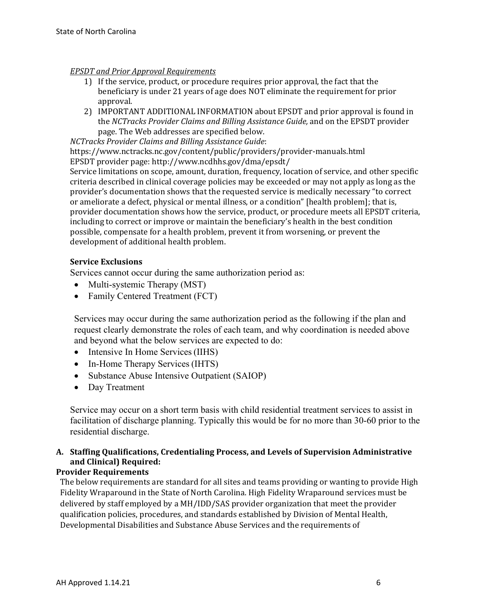#### *EPSDT and Prior Approval Requirements*

- 1) If the service, product, or procedure requires prior approval, the fact that the beneficiary is under 21 years of age does NOT eliminate the requirement for prior approval.
- 2) IMPORTANT ADDITIONAL INFORMATION about EPSDT and prior approval is found in the *NCTracks Provider Claims and Billing Assistance Guide,* and on the EPSDT provider page. The Web addresses are specified below.

*NCTracks Provider Claims and Billing Assistance Guide*:

https://www.nctracks.nc.gov/content/public/providers/provider-manuals.html EPSDT provider page: http://www.ncdhhs.gov/dma/epsdt/

Service limitations on scope, amount, duration, frequency, location of service, and other specific criteria described in clinical coverage policies may be exceeded or may not apply as long as the provider's documentation shows that the requested service is medically necessary "to correct or ameliorate a defect, physical or mental illness, or a condition" [health problem]; that is, provider documentation shows how the service, product, or procedure meets all EPSDT criteria, including to correct or improve or maintain the beneficiary's health in the best condition possible, compensate for a health problem, prevent it from worsening, or prevent the development of additional health problem.

### **Service Exclusions**

Services cannot occur during the same authorization period as:

- Multi-systemic Therapy (MST)
- Family Centered Treatment (FCT)

Services may occur during the same authorization period as the following if the plan and request clearly demonstrate the roles of each team, and why coordination is needed above and beyond what the below services are expected to do:

- Intensive In Home Services (IIHS)
- In-Home Therapy Services (IHTS)
- Substance Abuse Intensive Outpatient (SAIOP)
- Day Treatment

Service may occur on a short term basis with child residential treatment services to assist in facilitation of discharge planning. Typically this would be for no more than 30-60 prior to the residential discharge.

# **A. Staffing Qualifications, Credentialing Process, and Levels of Supervision Administrative and Clinical) Required:**

## **Provider Requirements**

The below requirements are standard for all sites and teams providing or wanting to provide High Fidelity Wraparound in the State of North Carolina. High Fidelity Wraparound services must be delivered by staff employed by a MH/IDD/SAS provider organization that meet the provider qualification policies, procedures, and standards established by Division of Mental Health, Developmental Disabilities and Substance Abuse Services and the requirements of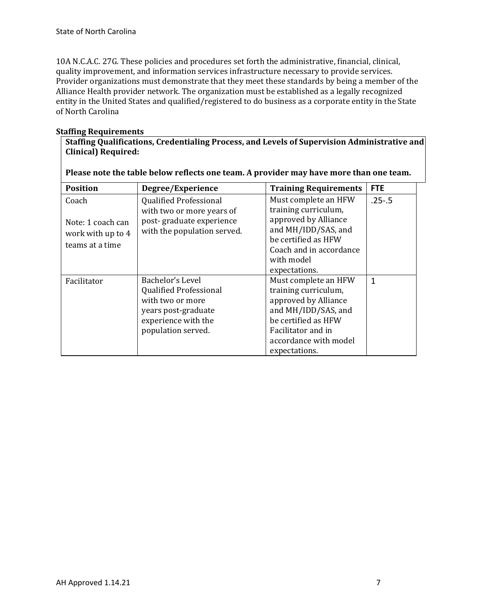10A N.C.A.C. 27G. These policies and procedures set forth the administrative, financial, clinical, quality improvement, and information services infrastructure necessary to provide services. Provider organizations must demonstrate that they meet these standards by being a member of the Alliance Health provider network. The organization must be established as a legally recognized entity in the United States and qualified/registered to do business as a corporate entity in the State of North Carolina

### **Staffing Requirements**

**Staffing Qualifications, Credentialing Process, and Levels of Supervision Administrative and Clinical) Required:**

| <b>Position</b>                                                    | Degree/Experience                                                                                                                         | <b>Training Requirements</b>                                                                                                                                                       | <b>FTE</b> |
|--------------------------------------------------------------------|-------------------------------------------------------------------------------------------------------------------------------------------|------------------------------------------------------------------------------------------------------------------------------------------------------------------------------------|------------|
| Coach<br>Note: 1 coach can<br>work with up to 4<br>teams at a time | <b>Qualified Professional</b><br>with two or more years of<br>post-graduate experience<br>with the population served.                     | Must complete an HFW<br>training curriculum,<br>approved by Alliance<br>and MH/IDD/SAS, and<br>be certified as HFW<br>Coach and in accordance<br>with model<br>expectations.       | $.25 - .5$ |
| Facilitator                                                        | Bachelor's Level<br><b>Qualified Professional</b><br>with two or more<br>years post-graduate<br>experience with the<br>population served. | Must complete an HFW<br>training curriculum,<br>approved by Alliance<br>and MH/IDD/SAS, and<br>be certified as HFW<br>Facilitator and in<br>accordance with model<br>expectations. | 1          |

**Please note the table below reflects one team. A provider may have more than one team.**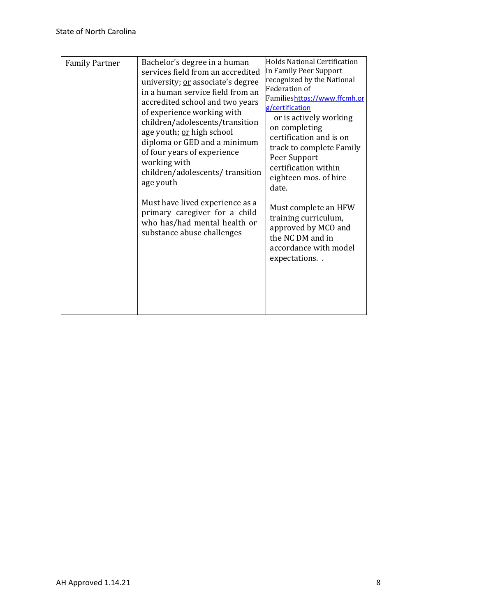| <b>Family Partner</b> | Bachelor's degree in a human<br>services field from an accredited<br>university; or associate's degree<br>in a human service field from an<br>accredited school and two years<br>of experience working with<br>children/adolescents/transition<br>age youth; or high school<br>diploma or GED and a minimum<br>of four years of experience<br>working with<br>children/adolescents/transition<br>age youth<br>Must have lived experience as a | Holds National Certification<br>in Family Peer Support<br>recognized by the National<br>Federation of                                                                                                                       |  |
|-----------------------|-----------------------------------------------------------------------------------------------------------------------------------------------------------------------------------------------------------------------------------------------------------------------------------------------------------------------------------------------------------------------------------------------------------------------------------------------|-----------------------------------------------------------------------------------------------------------------------------------------------------------------------------------------------------------------------------|--|
|                       |                                                                                                                                                                                                                                                                                                                                                                                                                                               | Familieshttps://www.ffcmh.or<br>g/certification<br>or is actively working<br>on completing<br>certification and is on<br>track to complete Family<br>Peer Support<br>certification within<br>eighteen mos. of hire<br>date. |  |
|                       | primary caregiver for a child<br>who has/had mental health or<br>substance abuse challenges                                                                                                                                                                                                                                                                                                                                                   | Must complete an HFW<br>training curriculum,<br>approved by MCO and<br>the NC DM and in<br>accordance with model<br>expectations                                                                                            |  |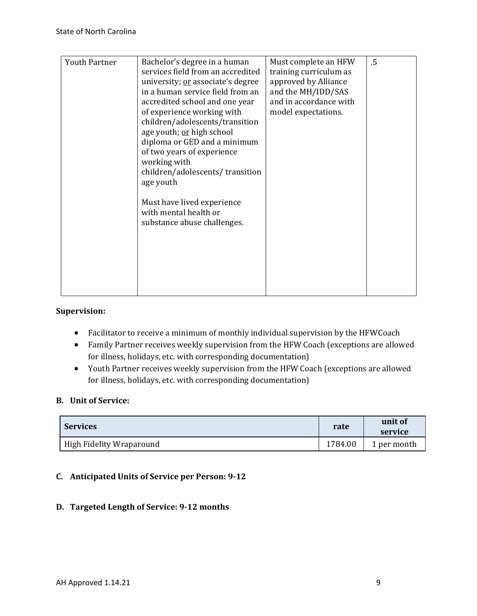| <b>Youth Partner</b> | Bachelor's degree in a human      | Must complete an HFW   | .5 |
|----------------------|-----------------------------------|------------------------|----|
|                      | services field from an accredited | training curriculum as |    |
|                      | university; or associate's degree | approved by Alliance   |    |
|                      | in a human service field from an  | and the MH/IDD/SAS     |    |
|                      | accredited school and one year    | and in accordance with |    |
|                      | of experience working with        | model expectations.    |    |
|                      | children/adolescents/transition   |                        |    |
|                      | age youth; or high school         |                        |    |
|                      | diploma or GED and a minimum      |                        |    |
|                      | of two years of experience        |                        |    |
|                      | working with                      |                        |    |
|                      | children/adolescents/transition   |                        |    |
|                      | age youth                         |                        |    |
|                      |                                   |                        |    |
|                      | Must have lived experience        |                        |    |
|                      | with mental health or             |                        |    |
|                      | substance abuse challenges.       |                        |    |
|                      |                                   |                        |    |
|                      |                                   |                        |    |
|                      |                                   |                        |    |
|                      |                                   |                        |    |
|                      |                                   |                        |    |
|                      |                                   |                        |    |
|                      |                                   |                        |    |

#### **Supervision:**

- Facilitator to receive a minimum of monthly individual supervision by the HFWCoach
- Family Partner receives weekly supervision from the HFW Coach (exceptions are allowed for illness, holidays, etc. with corresponding documentation)
- Youth Partner receives weekly supervision from the HFW Coach (exceptions are allowed for illness, holidays, etc. with corresponding documentation)

### **B. Unit of Service:**

| <b>Services</b>          | rate    | unit of<br>service |
|--------------------------|---------|--------------------|
| High Fidelity Wraparound | 1784.00 | 1 per month        |

# **C. Anticipated Units of Service per Person: 9-12**

### **D. Targeted Length of Service: 9-12 months**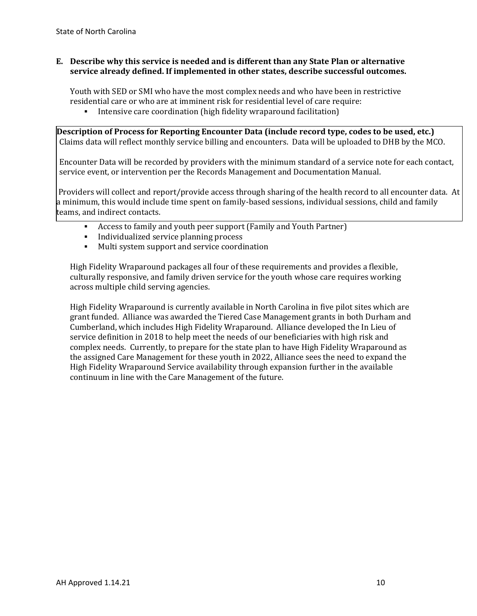### **E. Describe why this service is needed and is different than any State Plan or alternative service already defined. If implemented in other states, describe successful outcomes.**

Youth with SED or SMI who have the most complex needs and who have been in restrictive residential care or who are at imminent risk for residential level of care require:<br>• Intensive care coordination (high fidelity wranaround facilitation)

Intensive care coordination (high fidelity wraparound facilitation)

**Description of Process for Reporting Encounter Data (include record type, codes to be used, etc.)** Claims data will reflect monthly service billing and encounters. Data will be uploaded to DHB by the MCO.

Encounter Data will be recorded by providers with the minimum standard of a service note for each contact, service event, or intervention per the Records Management and Documentation Manual.

Providers will collect and report/provide access through sharing of the health record to all encounter data. At a minimum, this would include time spent on family-based sessions, individual sessions, child and family teams, and indirect contacts.

- Access to family and youth peer support (Family and Youth Partner)
- **Individualized service planning process**<br>**Industry** Multi system support and service coordinate
- Multi system support and service coordination

High Fidelity Wraparound packages all four of these requirements and provides a flexible, culturally responsive, and family driven service for the youth whose care requires working across multiple child serving agencies.

High Fidelity Wraparound is currently available in North Carolina in five pilot sites which are grant funded. Alliance was awarded the Tiered Case Management grants in both Durham and Cumberland, which includes High Fidelity Wraparound. Alliance developed the In Lieu of service definition in 2018 to help meet the needs of our beneficiaries with high risk and complex needs. Currently, to prepare for the state plan to have High Fidelity Wraparound as the assigned Care Management for these youth in 2022, Alliance sees the need to expand the High Fidelity Wraparound Service availability through expansion further in the available continuum in line with the Care Management of the future.